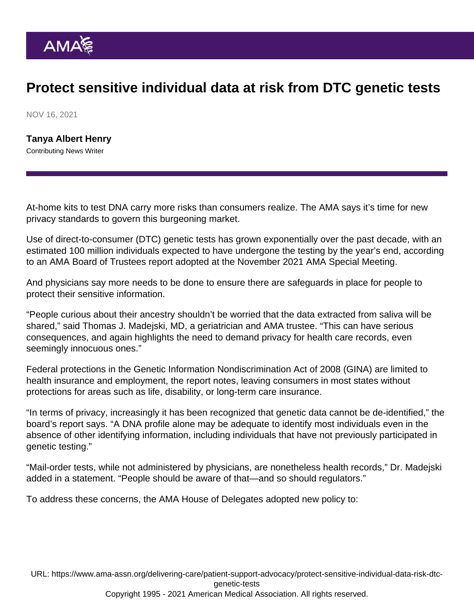## Protect sensitive individual data at risk from DTC genetic tests

NOV 16, 2021

[Tanya Albert Henry](https://www.ama-assn.org/news-leadership-viewpoints/authors-news-leadership-viewpoints/tanya-albert-henry) Contributing News Writer

At-home kits to test DNA carry more risks than consumers realize. The AMA says it's time for new privacy standards to govern this burgeoning market.

Use of direct-to-consumer (DTC) genetic tests has grown exponentially over the past decade, with an estimated 100 million individuals expected to have undergone the testing by the year's end, according to an [AMA Board of Trustees](https://www.ama-assn.org/about/board-trustees/board-trustees-members) report adopted at the [November 2021 AMA Special Meeting](https://www.ama-assn.org/house-delegates/special-meeting).

And physicians say more needs to be done to ensure there are safeguards in place for people to protect their sensitive information.

"People curious about their ancestry shouldn't be worried that the data extracted from saliva will be shared," said [Thomas J. Madejski, MD,](https://www.ama-assn.org/about/board-trustees/thomas-j-madejski-md) a geriatrician and AMA trustee. "This can have serious consequences, and again highlights the need to demand privacy for health care records, even seemingly innocuous ones."

Federal protections in the Genetic Information Nondiscrimination Act of 2008 (GINA) are limited to health insurance and employment, the report notes, leaving consumers in most states without protections for areas such as life, disability, or long-term care insurance.

"In terms of privacy, increasingly it has been recognized that genetic data cannot be de-identified," the board's report says. "A DNA profile alone may be adequate to identify most individuals even in the absence of other identifying information, including individuals that have not previously participated in genetic testing."

"Mail-order tests, while not administered by physicians, are nonetheless health records," Dr. Madejski added [in a statement](https://www.ama-assn.org/press-center/press-releases/ama-calls-privacy-guidelines-governing-mail-order-dna-tests). "People should be aware of that—and so should regulators."

To address these concerns, the [AMA House of Delegates](https://www.ama-assn.org/house-delegates) adopted new policy to:

URL: [https://www.ama-assn.org/delivering-care/patient-support-advocacy/protect-sensitive-individual-data-risk-dtc](https://www.ama-assn.org/delivering-care/patient-support-advocacy/protect-sensitive-individual-data-risk-dtc-genetic-tests)[genetic-tests](https://www.ama-assn.org/delivering-care/patient-support-advocacy/protect-sensitive-individual-data-risk-dtc-genetic-tests) Copyright 1995 - 2021 American Medical Association. All rights reserved.